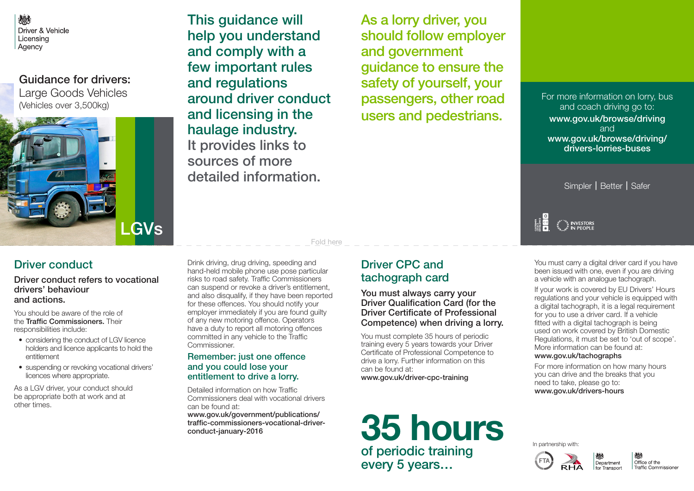心 Driver & Vehicle Licensina Agency

Guidance for drivers:

Large Goods Vehicles (Vehicles over 3,500kg)



Driver conduct refers to vocational

Driver conduct

drivers' behaviour and actions.

responsibilities include:

entitlement

You should be aware of the role of the Traffic Commissioners. Their

licences where appropriate.

This quidance will help you understand and comply with a few important rules and regulations around driver conduct and licensing in the haulage industry. It provides links to sources of more detailed information.

As a lorry driver, you should follow employer and government guidance to ensure the safety of yourself, your passengers, other road users and pedestrians.

For more information on lorry, bus and coach driving go to: www.gov.uk/browse/driving and www.gov.uk/browse/driving/ drivers-lorries-buses

Simpler | Better | Safer

INVESTORS پ<sup>ین</sup>

You must carry a digital driver card if you have been issued with one, even if you are driving a vehicle with an analogue tachograph.

If your work is covered by EU Drivers' Hours regulations and your vehicle is equipped with a digital tachograph, it is a legal requirement for you to use a driver card. If a vehicle fitted with a digital tachograph is being used on work covered by British Domestic Regulations, it must be set to 'out of scope'. More information can be found at:

#### www.gov.uk/tachographs

For more information on how many hours you can drive and the breaks that you need to take, please go to: www.gov.uk/drivers-hours

As a LGV driver, your conduct should be appropriate both at work and at other times.

• considering the conduct of LGV licence holders and licence applicants to hold the

• suspending or revoking vocational drivers'

Drink driving, drug driving, speeding and hand-held mobile phone use pose particular risks to road safety. Traffic Commissioners can suspend or revoke a driver's entitlement, and also disqualify, if they have been reported for these offences. You should notify your employer immediately if you are found guilty of any new motoring offence. Operators have a duty to report all motoring offences committed in any vehicle to the Traffic Commissioner.

Fold here

### Remember: just one offence and you could lose your entitlement to drive a lorry.

Detailed information on how Traffic Commissioners deal with vocational drivers can be found at: www.gov.uk/government/publications/ traffic-commissioners-vocational-driverconduct-january-2016

## Driver CPC and tachograph card

You must always carry your Driver Qualification Card (for the Driver Certificate of Professional Competence) when driving a lorry.

You must complete 35 hours of periodic training every 5 years towards your Driver Certificate of Professional Competence to drive a lorry. Further information on this can be found at: www.gov.uk/driver-cpc-training

# of periodic training every 5 years… **35 hours**

In partnership with:



Office of the Traffic Commissione